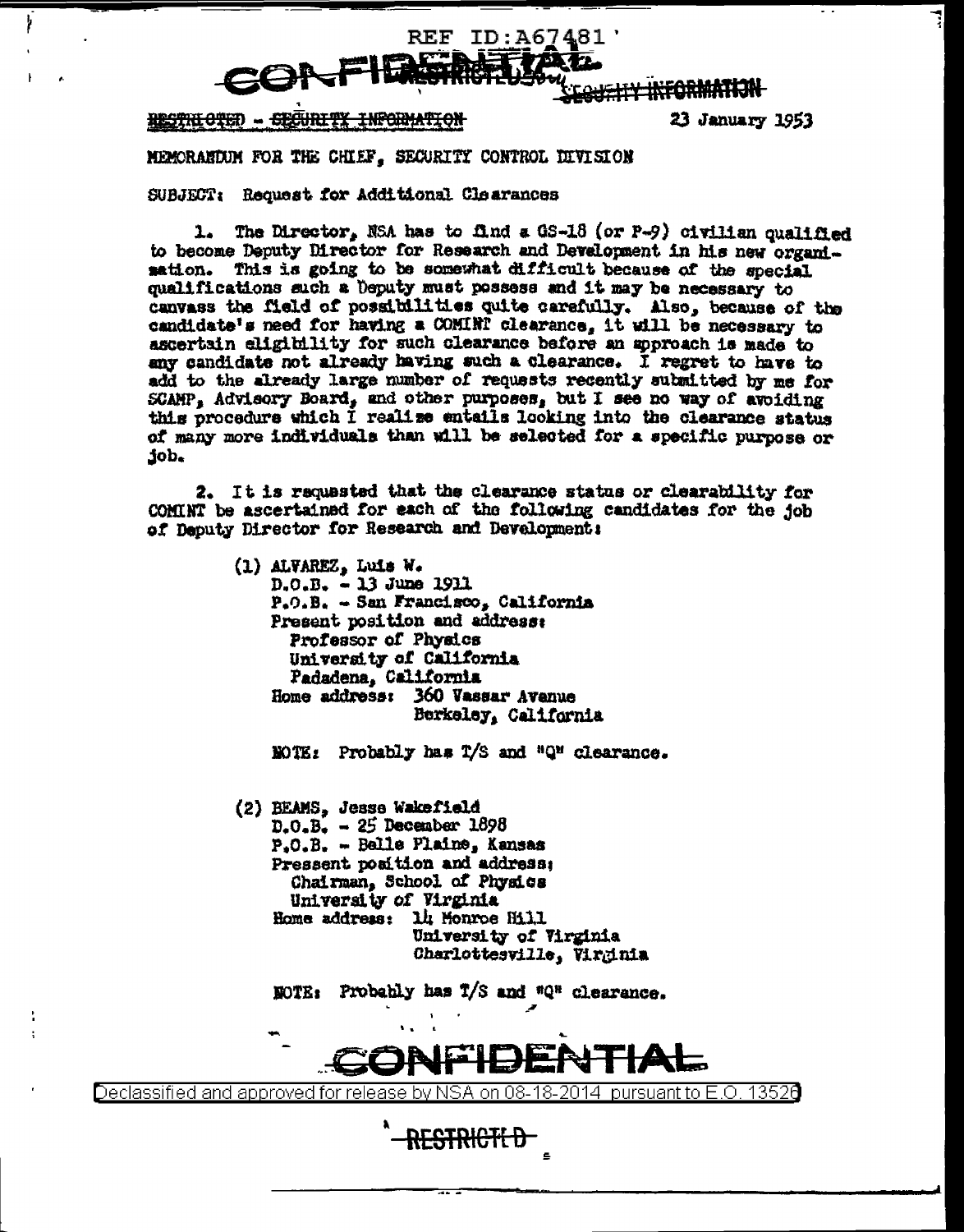

<del>information</del> RESTRIOTED - SECURIT

ŀ

23 January 1953

MEMORARDUM FOR THE CHIEF. SECURITY CONTROL DIVISION

SUBJECT: Request for Additional Clearances

1. The Director, NSA has to find a GS-18 (or P-9) civilian qualified to become Deputy Director for Research and Development in his new organisation. This is going to be somewhat difficult because of the special qualifications such a Deputy must possess and it may be necessary to canvass the field of possibilities quite carefully. Also, because of the candidate's need for having a COMINT clearance, it will be necessary to ascertain eligibility for such clearance before an approach is made to any candidate not already having such a clearance. I regret to have to add to the already large number of requests recently submitted by me for SCAMP. Advisory Board, and other purposes, but I see no way of avoiding this procedure which I realize entails looking into the clearance status of many more individuals than will be selected for a specific purpose or .dot

2. It is requested that the clearance status or clearability for COMINT be ascertained for each of the following candidates for the job of Deputy Director for Research and Development:

> (1) ALVAREZ, Luis W.  $D.0.B. - 13$  June 1911  $P_{\bullet}O_{\bullet}B_{\bullet} = Sam Frandisco_{\bullet} California$ Present position and address: Professor of Physics University of California Padadena, California Home address: 360 Vassar Avenue Berkeley, California

NOTE: Probably has T/S and "Q" clearance.

(2) BEAMS, Jesse Wakefield  $D_0 - B_0 = 25$  December 1898 P.O.B. - Belle Plaine, Kansas Pressent position and address: Chairman, School of Physics University of Virginia Home address: 14 Monroe Hill University of Virginia Charlottesville, Virginia

NOTE: Probably has T/S and "Q" clearance.



Declassified and approved for release by NSA on 08-18-2014 pursuant to E.O. 13526

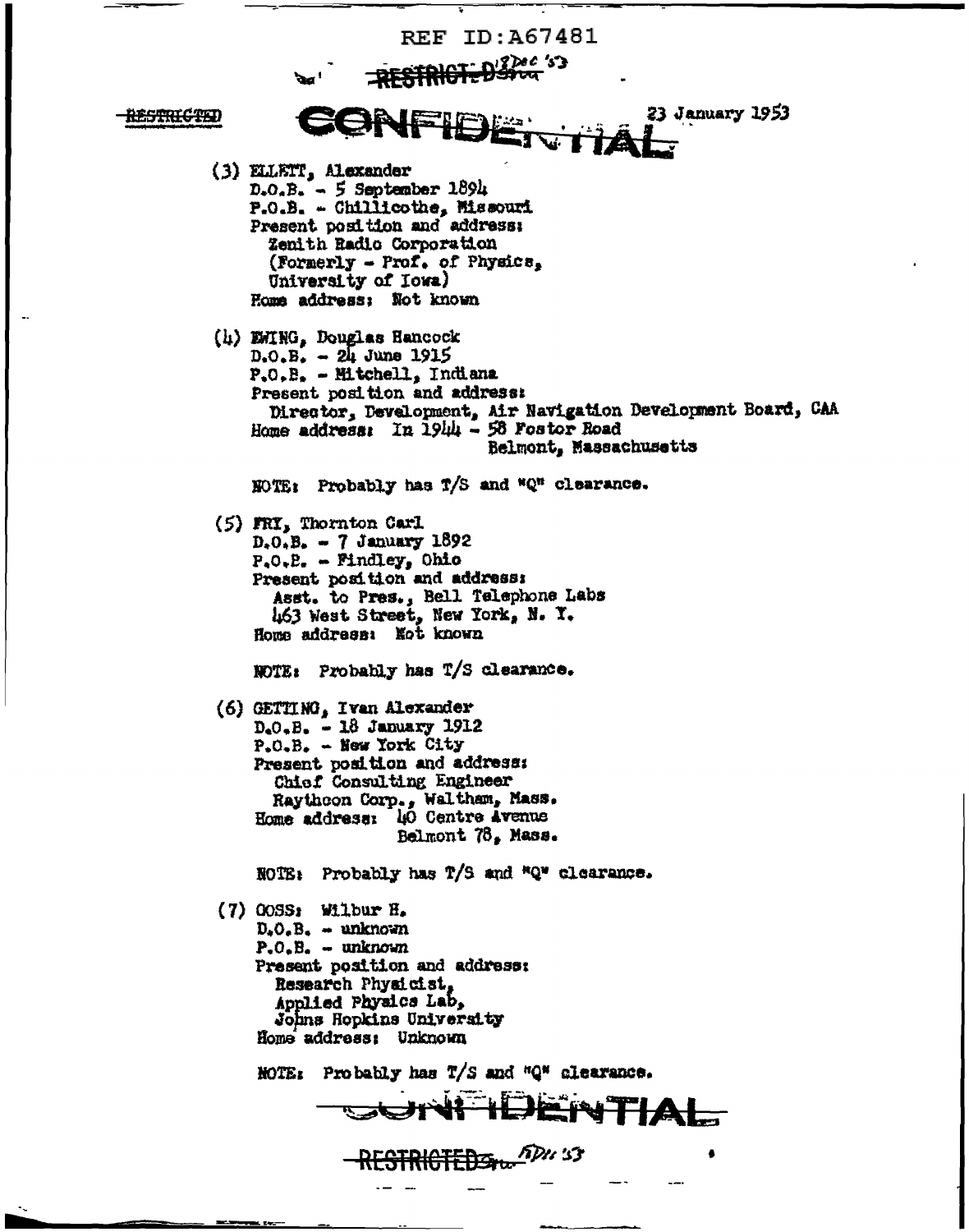**REF TD: A67481** CI-D'Sou 'S 23 January 1953 **ENFIE** RESTRICTED (3) ELLETT, Alexander  $D<sub>z</sub>O<sub>z</sub>B<sub>z</sub> = 5$  September 1894 P.O.B. - Chillicothe, Missouri Present position and address: Zenith Radio Corporation (Formerly - Prof. of Physics, University of Iowa) Home address: Not known (h) EHING, Douglas Hancock  $D_0O_2B_2 = 24$  June 1915  $P_{*}O_{*}B_{*}$  - Hitchell, Indiana Present position and address: Director, Development, Air Navigation Development Board, CAA Home address: In 1944 - 58 Fostor Road Belmont, Massachusetts WOTE: Probably has T/S and "Q" clearance. (5) FRI, Thornton Carl  $D_5O_5B_6 = 7$  January 1892  $P_{\bullet}O_{\bullet}B_{\bullet} = \text{Findley}_{\bullet}$  Ohio Present position and address: Asst. to Pres., Bell Telephone Labs 463 West Street, New York, N. Y. Home address: Not known NOTE: Probably has T/S clearance. (6) GETTING, Ivan Alexander  $D_eO_eB_e = 18$  January 1912  $P_{\bullet}O_{\bullet}B_{\bullet}$  - New York City Present position and address: Chief Consulting Engineer Raythcon Corp., Waltham, Mass.<br>Home address: 40 Centre Avenue Belmont 78. Mass. NOTE: Probably has T/S and "Q" clearance.  $(7)$  COSS: Wilbur H.  $D<sub>z</sub>O<sub>z</sub>B<sub>z</sub> - unknown$  $P. O. B. - unknown$ Present position and address: Research Physicist, Applied Physics Lab. Johns Hopkins University Home address: Unknown **MOTE:** Probably has  $T/S$  and "Q" clearance. JENTIA FDU 'S 3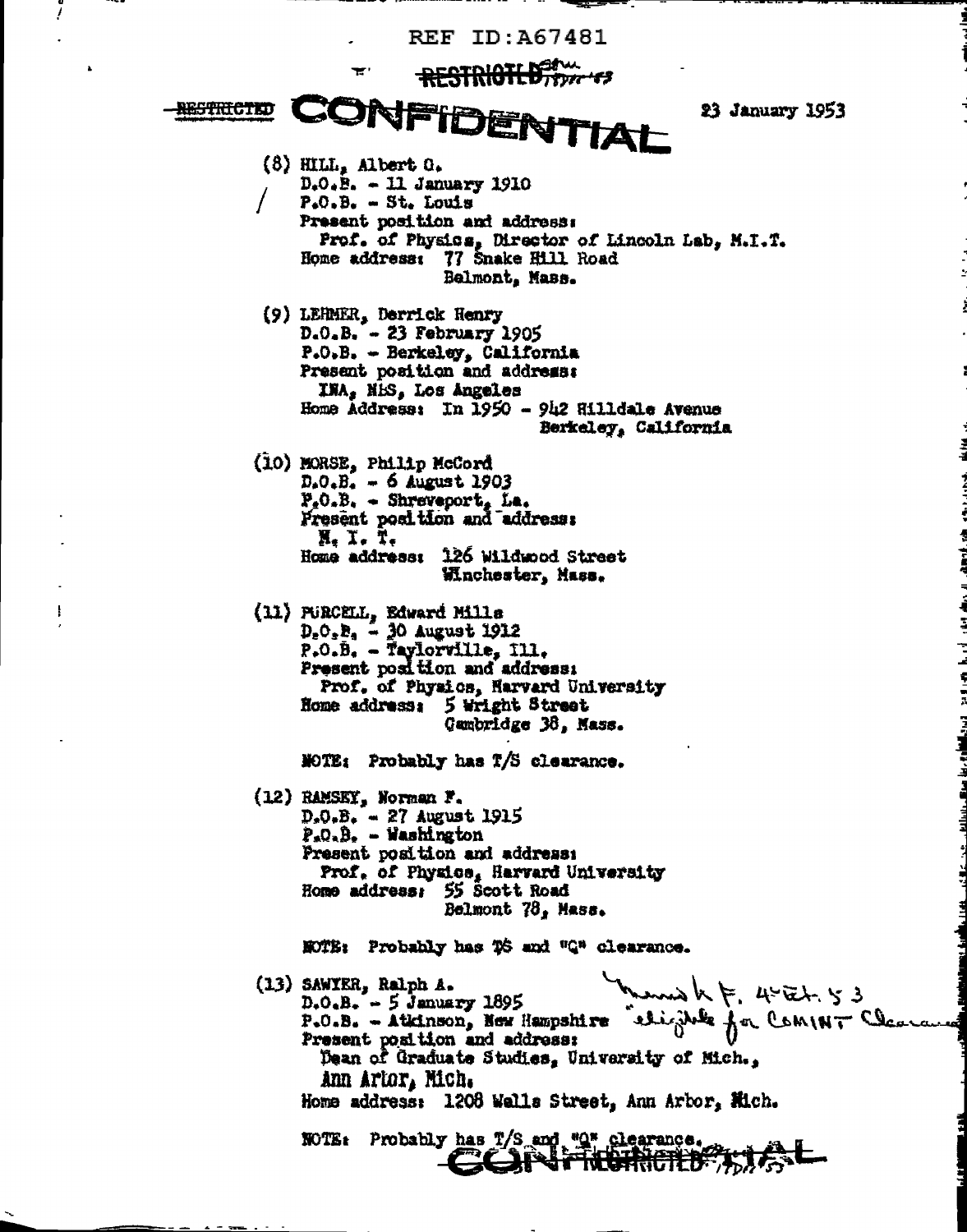**REF ID: A67481** 

RESTRICTLES

23 January 1953

CONFIDENTIAL **AESTRICTED**  $(8)$  HILL, Albert  $0$ .  $D<sub>0</sub>$ . B. - 11 January 1910  $P<sub>4</sub>O<sub>5</sub>B<sub>6</sub> = St<sub>6</sub> Louis$ Present position and address: Prof. of Physics, Director of Lincoln Lab, M.I.T. Home address: 77 Snake Hill Road Belmont, Mass. (9) LEHMER, Derrick Henry  $D<sub>0</sub> D<sub>n</sub> = 23 February 1905$  $P<sub>•</sub>O<sub>•</sub>B<sub>•</sub>$  - Berkeley, California Present position and address: INA, NES, Los Angeles Home Address: In 1950 - 942 Hilldale Avenue Berkeley, California (10) MORSE, Philip McCord  $D_{*}O_{*}B_{*} = 6$  August 1903  $P_eO_eB_e$  - Shreveport, La. Present position and address: N, I. T. Home address: 126 Wildwood Street Mnchester, Mass. (11) PURCELL, Edward Mills  $D_eO_eB_4 = 30$  August 1912  $P_{\bullet}O_{\bullet}B_{\bullet}$  - Taylorville, Ill. Present position and address: Prof. of Physics, Harvard University Home address: 5 Wright Street Qumbridge 38, Mass. NOTE: Probably has T/S clearance. (12) RAMSKY, Norman F.  $D_xO_xB_x = 27$  August 1915  $P<sub>n</sub>Q<sub>n</sub>B<sub>n</sub> - Washington$ Present position and address: Prof. of Physics, Harvard University Home address: 55 Scott Road Belmont 78, Mass. NOTE: Probably has TS and "Q" clearance. www.h F. 4-Et 53 (13) SAWYER, Ralph A.  $D_{*}O_{*}B_{*} = 5$  January 1895 P.O.B. - Atkinson, New Hampshire eligible for COMINT Class Present position and address: Dean of Graduate Studies, University of Mich., ann artor, Mich. Home address: 1208 Walls Street, Ann Arbor, Mich. NOTE: Probably has T/S and "O" clearance. CCINTICHTURES

ł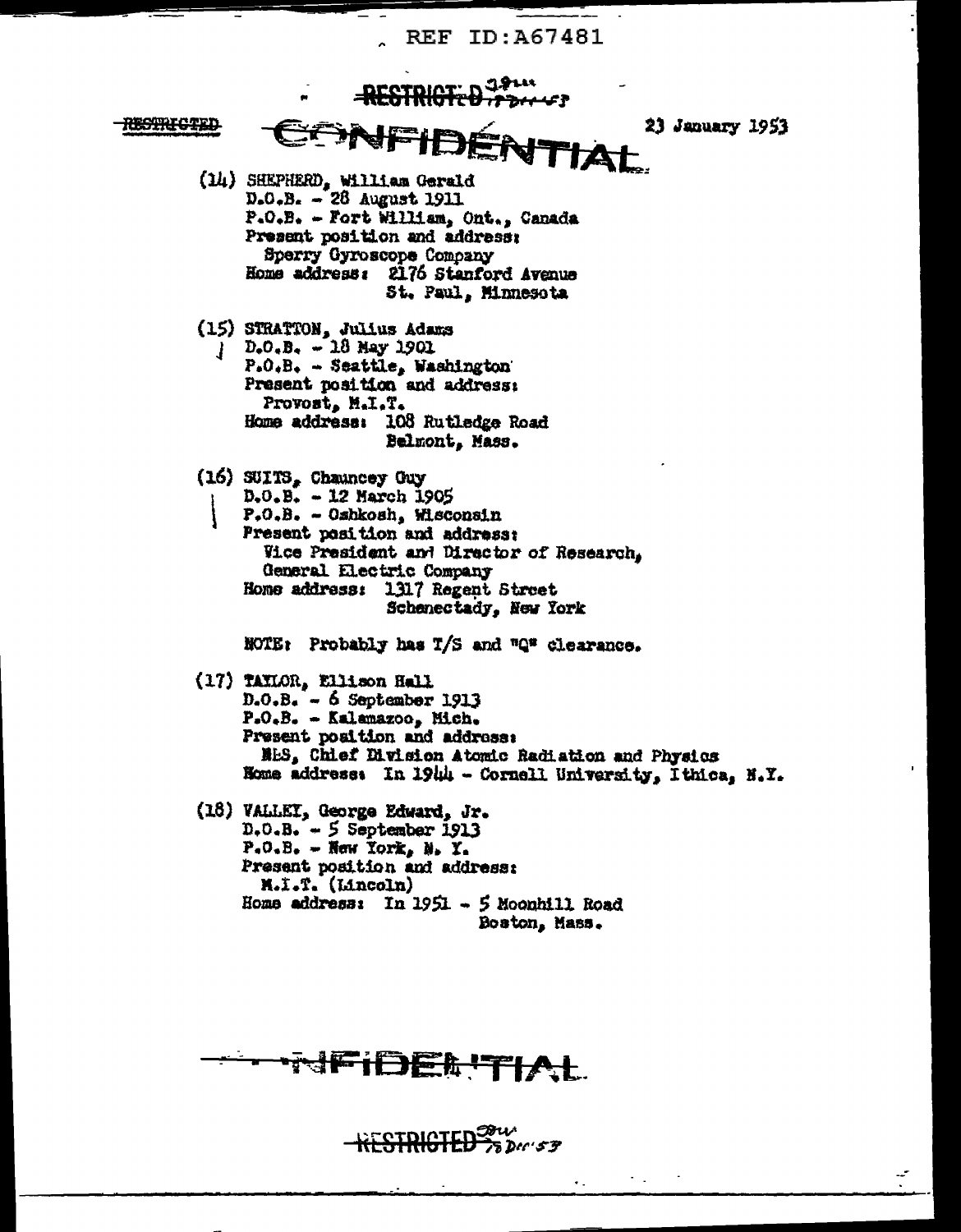**REF ID: A67481** 



**JFIDEL TIAL** 

 $HESFRIGFED$   $\frac{33}{28}$   $\frac{33}{28}$ **Dru**